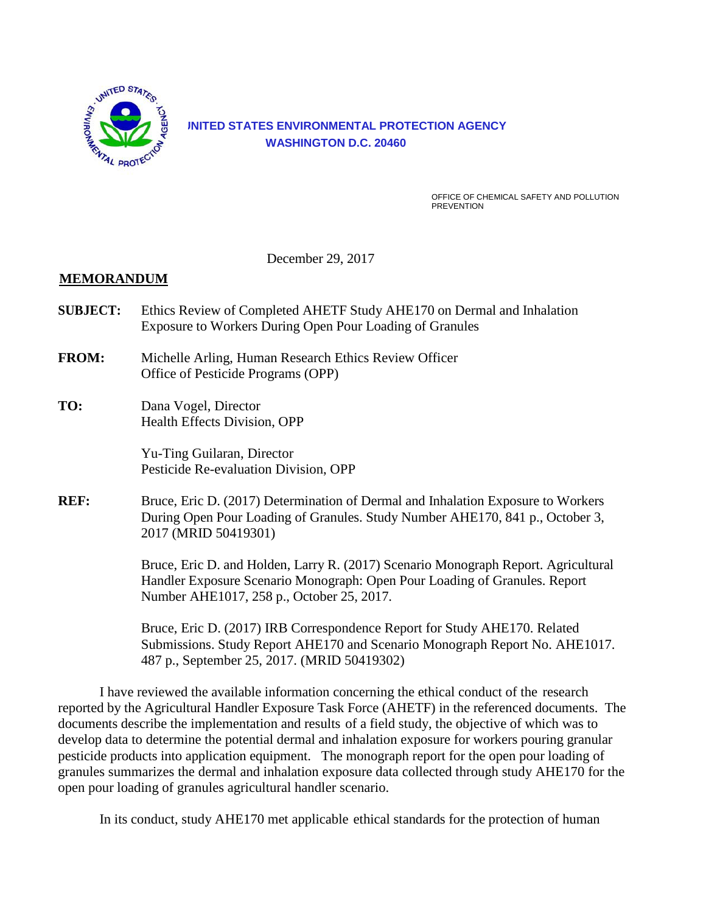

## **UNITED STATES ENVIRONMENTAL PROTECTION AGENCY WASHINGTON D.C. 20460**

OFFICE OF CHEMICAL SAFETY AND POLLUTION **PREVENTION** 

December 29, 2017

### **MEMORANDUM**

- **SUBJECT:** Ethics Review of Completed AHETF Study AHE170 on Dermal and Inhalation Exposure to Workers During Open Pour Loading of Granules
- **FROM:** Michelle Arling, Human Research Ethics Review Officer Office of Pesticide Programs (OPP)
- **TO:** Dana Vogel, Director Health Effects Division, OPP

Yu-Ting Guilaran, Director Pesticide Re-evaluation Division, OPP

**REF:** Bruce, Eric D. (2017) Determination of Dermal and Inhalation Exposure to Workers During Open Pour Loading of Granules. Study Number AHE170, 841 p., October 3, 2017 (MRID 50419301)

> Bruce, Eric D. and Holden, Larry R. (2017) Scenario Monograph Report. Agricultural Handler Exposure Scenario Monograph: Open Pour Loading of Granules. Report Number AHE1017, 258 p., October 25, 2017.

> Bruce, Eric D. (2017) IRB Correspondence Report for Study AHE170. Related Submissions. Study Report AHE170 and Scenario Monograph Report No. AHE1017. 487 p., September 25, 2017. (MRID 50419302)

I have reviewed the available information concerning the ethical conduct of the research reported by the Agricultural Handler Exposure Task Force (AHETF) in the referenced documents. The documents describe the implementation and results of a field study, the objective of which was to develop data to determine the potential dermal and inhalation exposure for workers pouring granular pesticide products into application equipment. The monograph report for the open pour loading of granules summarizes the dermal and inhalation exposure data collected through study AHE170 for the open pour loading of granules agricultural handler scenario.

In its conduct, study AHE170 met applicable ethical standards for the protection of human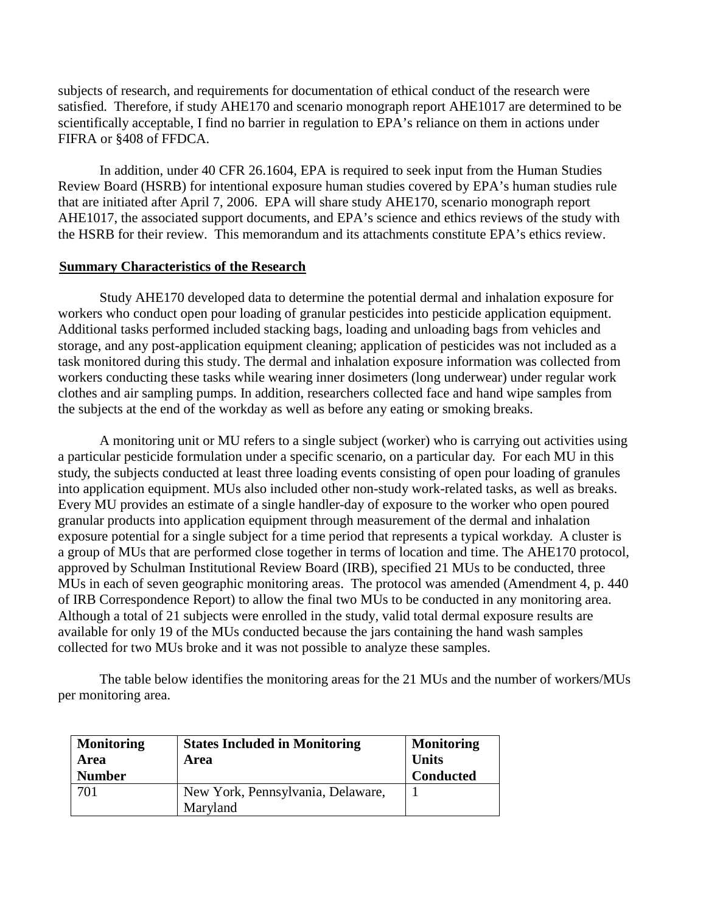subjects of research, and requirements for documentation of ethical conduct of the research were satisfied. Therefore, if study AHE170 and scenario monograph report AHE1017 are determined to be scientifically acceptable, I find no barrier in regulation to EPA's reliance on them in actions under FIFRA or §408 of FFDCA.

In addition, under 40 CFR 26.1604, EPA is required to seek input from the Human Studies Review Board (HSRB) for intentional exposure human studies covered by EPA's human studies rule that are initiated after April 7, 2006. EPA will share study AHE170, scenario monograph report AHE1017, the associated support documents, and EPA's science and ethics reviews of the study with the HSRB for their review. This memorandum and its attachments constitute EPA's ethics review.

#### **Summary Characteristics of the Research**

Study AHE170 developed data to determine the potential dermal and inhalation exposure for workers who conduct open pour loading of granular pesticides into pesticide application equipment. Additional tasks performed included stacking bags, loading and unloading bags from vehicles and storage, and any post-application equipment cleaning; application of pesticides was not included as a task monitored during this study. The dermal and inhalation exposure information was collected from workers conducting these tasks while wearing inner dosimeters (long underwear) under regular work clothes and air sampling pumps. In addition, researchers collected face and hand wipe samples from the subjects at the end of the workday as well as before any eating or smoking breaks.

A monitoring unit or MU refers to a single subject (worker) who is carrying out activities using a particular pesticide formulation under a specific scenario, on a particular day. For each MU in this study, the subjects conducted at least three loading events consisting of open pour loading of granules into application equipment. MUs also included other non-study work-related tasks, as well as breaks. Every MU provides an estimate of a single handler-day of exposure to the worker who open poured granular products into application equipment through measurement of the dermal and inhalation exposure potential for a single subject for a time period that represents a typical workday. A cluster is a group of MUs that are performed close together in terms of location and time. The AHE170 protocol, approved by Schulman Institutional Review Board (IRB), specified 21 MUs to be conducted, three MUs in each of seven geographic monitoring areas. The protocol was amended (Amendment 4, p. 440 of IRB Correspondence Report) to allow the final two MUs to be conducted in any monitoring area. Although a total of 21 subjects were enrolled in the study, valid total dermal exposure results are available for only 19 of the MUs conducted because the jars containing the hand wash samples collected for two MUs broke and it was not possible to analyze these samples.

The table below identifies the monitoring areas for the 21 MUs and the number of workers/MUs per monitoring area.

| <b>Monitoring</b><br>Area<br><b>Number</b> | <b>States Included in Monitoring</b><br>Area  | <b>Monitoring</b><br><b>Units</b><br><b>Conducted</b> |
|--------------------------------------------|-----------------------------------------------|-------------------------------------------------------|
| 701                                        | New York, Pennsylvania, Delaware,<br>Maryland |                                                       |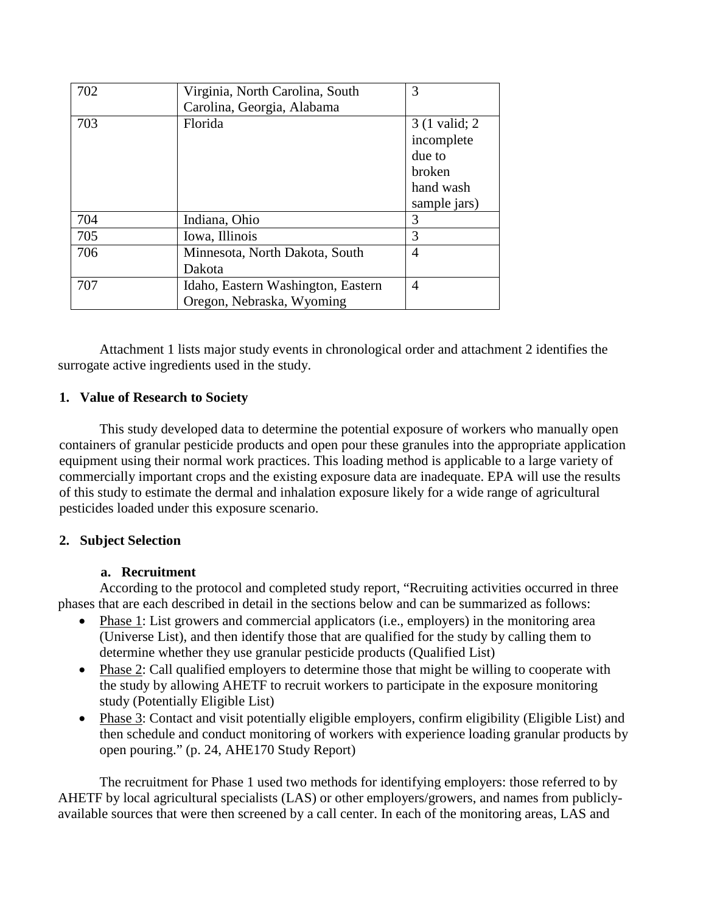| 702 | Virginia, North Carolina, South    | 3              |
|-----|------------------------------------|----------------|
|     | Carolina, Georgia, Alabama         |                |
| 703 | Florida                            | 3 (1 valid; 2) |
|     |                                    | incomplete     |
|     |                                    | due to         |
|     |                                    | broken         |
|     |                                    | hand wash      |
|     |                                    | sample jars)   |
| 704 | Indiana, Ohio                      | 3              |
| 705 | Iowa, Illinois                     | 3              |
| 706 | Minnesota, North Dakota, South     | $\overline{4}$ |
|     | Dakota                             |                |
| 707 | Idaho, Eastern Washington, Eastern | $\overline{4}$ |
|     | Oregon, Nebraska, Wyoming          |                |

Attachment 1 lists major study events in chronological order and attachment 2 identifies the surrogate active ingredients used in the study.

## **1. Value of Research to Society**

This study developed data to determine the potential exposure of workers who manually open containers of granular pesticide products and open pour these granules into the appropriate application equipment using their normal work practices. This loading method is applicable to a large variety of commercially important crops and the existing exposure data are inadequate. EPA will use the results of this study to estimate the dermal and inhalation exposure likely for a wide range of agricultural pesticides loaded under this exposure scenario.

## **2. Subject Selection**

## **a. Recruitment**

According to the protocol and completed study report, "Recruiting activities occurred in three phases that are each described in detail in the sections below and can be summarized as follows:

- Phase 1: List growers and commercial applicators (i.e., employers) in the monitoring area (Universe List), and then identify those that are qualified for the study by calling them to determine whether they use granular pesticide products (Qualified List)
- Phase 2: Call qualified employers to determine those that might be willing to cooperate with the study by allowing AHETF to recruit workers to participate in the exposure monitoring study (Potentially Eligible List)
- Phase 3: Contact and visit potentially eligible employers, confirm eligibility (Eligible List) and then schedule and conduct monitoring of workers with experience loading granular products by open pouring." (p. 24, AHE170 Study Report)

The recruitment for Phase 1 used two methods for identifying employers: those referred to by AHETF by local agricultural specialists (LAS) or other employers/growers, and names from publiclyavailable sources that were then screened by a call center. In each of the monitoring areas, LAS and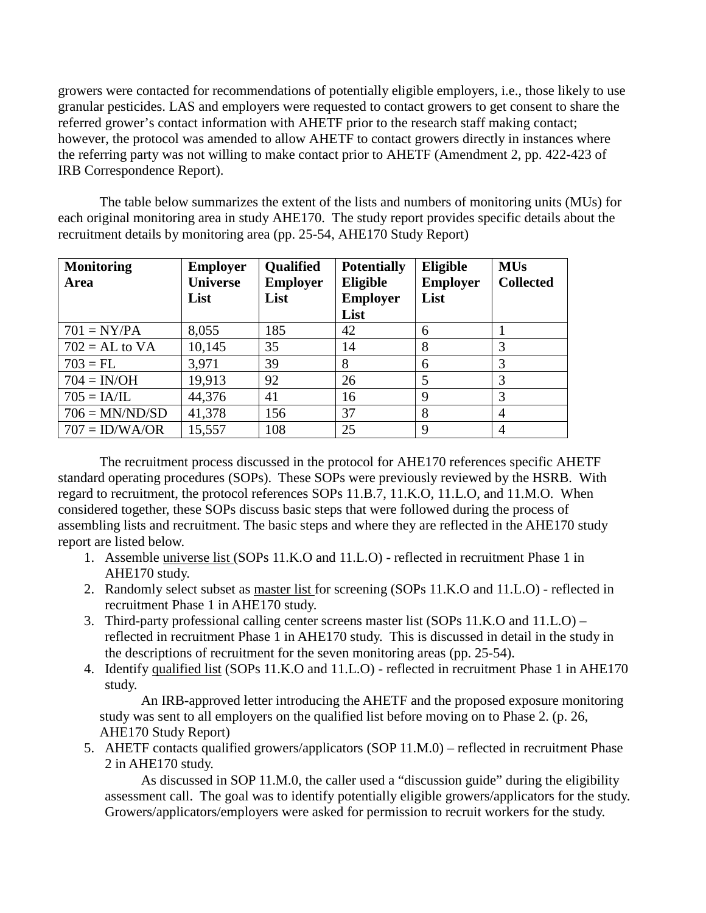growers were contacted for recommendations of potentially eligible employers, i.e., those likely to use granular pesticides. LAS and employers were requested to contact growers to get consent to share the referred grower's contact information with AHETF prior to the research staff making contact; however, the protocol was amended to allow AHETF to contact growers directly in instances where the referring party was not willing to make contact prior to AHETF (Amendment 2, pp. 422-423 of IRB Correspondence Report).

The table below summarizes the extent of the lists and numbers of monitoring units (MUs) for each original monitoring area in study AHE170. The study report provides specific details about the recruitment details by monitoring area (pp. 25-54, AHE170 Study Report)

| <b>Monitoring</b><br>Area | <b>Employer</b><br><b>Universe</b><br>List | <b>Qualified</b><br><b>Employer</b><br>List | <b>Potentially</b><br><b>Eligible</b><br><b>Employer</b><br>List | Eligible<br><b>Employer</b><br>List | <b>MUs</b><br><b>Collected</b> |
|---------------------------|--------------------------------------------|---------------------------------------------|------------------------------------------------------------------|-------------------------------------|--------------------------------|
| $701 = NY/PA$             | 8,055                                      | 185                                         | 42                                                               | 6                                   |                                |
| $702 = AL$ to VA          | 10,145                                     | 35                                          | 14                                                               | 8                                   | 3                              |
| $703 = FL$                | 3,971                                      | 39                                          | 8                                                                | 6                                   | 3                              |
| $704 = IN/OH$             | 19,913                                     | 92                                          | 26                                                               | 5                                   | 3                              |
| $705 = I A/IL$            | 44,376                                     | 41                                          | 16                                                               | 9                                   | 3                              |
| $706 = MN/ND/SD$          | 41,378                                     | 156                                         | 37                                                               | 8                                   | 4                              |
| $707 = ID/WA/OR$          | 15,557                                     | 108                                         | 25                                                               | 9                                   | 4                              |

The recruitment process discussed in the protocol for AHE170 references specific AHETF standard operating procedures (SOPs). These SOPs were previously reviewed by the HSRB. With regard to recruitment, the protocol references SOPs 11.B.7, 11.K.O, 11.L.O, and 11.M.O. When considered together, these SOPs discuss basic steps that were followed during the process of assembling lists and recruitment. The basic steps and where they are reflected in the AHE170 study report are listed below.

- 1. Assemble universe list (SOPs 11.K.O and 11.L.O) reflected in recruitment Phase 1 in AHE170 study.
- 2. Randomly select subset as master list for screening (SOPs 11.K.O and 11.L.O) reflected in recruitment Phase 1 in AHE170 study.
- 3. Third-party professional calling center screens master list (SOPs 11.K.O and 11.L.O) reflected in recruitment Phase 1 in AHE170 study. This is discussed in detail in the study in the descriptions of recruitment for the seven monitoring areas (pp. 25-54).
- 4. Identify qualified list (SOPs 11.K.O and 11.L.O) reflected in recruitment Phase 1 in AHE170 study.

An IRB-approved letter introducing the AHETF and the proposed exposure monitoring study was sent to all employers on the qualified list before moving on to Phase 2. (p. 26, AHE170 Study Report)

5. AHETF contacts qualified growers/applicators (SOP 11.M.0) – reflected in recruitment Phase 2 in AHE170 study.

As discussed in SOP 11.M.0, the caller used a "discussion guide" during the eligibility assessment call. The goal was to identify potentially eligible growers/applicators for the study. Growers/applicators/employers were asked for permission to recruit workers for the study.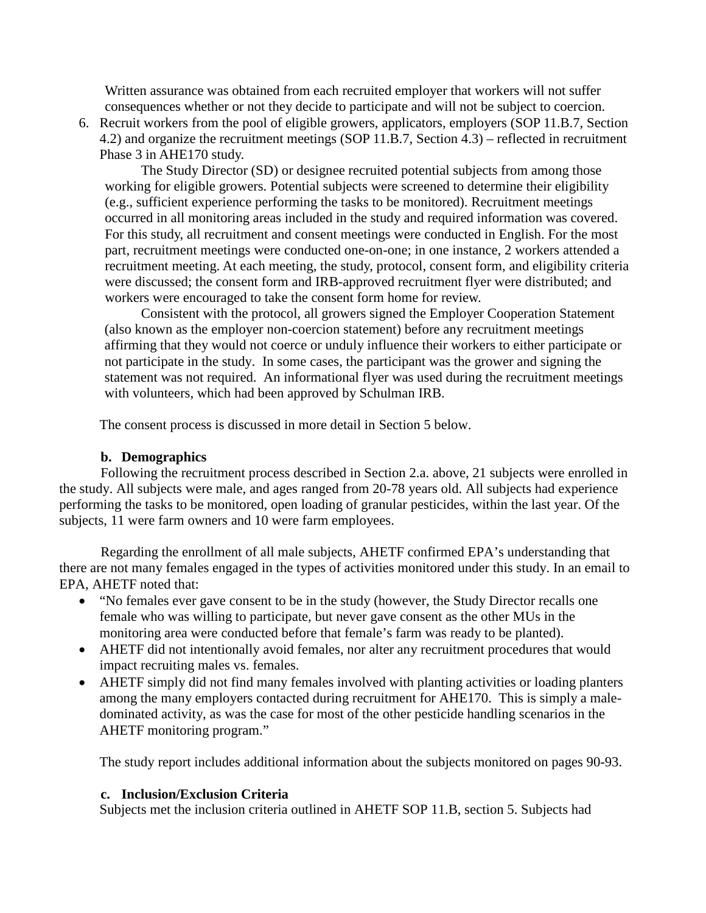Written assurance was obtained from each recruited employer that workers will not suffer consequences whether or not they decide to participate and will not be subject to coercion.

6. Recruit workers from the pool of eligible growers, applicators, employers (SOP 11.B.7, Section 4.2) and organize the recruitment meetings (SOP 11.B.7, Section 4.3) – reflected in recruitment Phase 3 in AHE170 study.

The Study Director (SD) or designee recruited potential subjects from among those working for eligible growers. Potential subjects were screened to determine their eligibility (e.g., sufficient experience performing the tasks to be monitored). Recruitment meetings occurred in all monitoring areas included in the study and required information was covered. For this study, all recruitment and consent meetings were conducted in English. For the most part, recruitment meetings were conducted one-on-one; in one instance, 2 workers attended a recruitment meeting. At each meeting, the study, protocol, consent form, and eligibility criteria were discussed; the consent form and IRB-approved recruitment flyer were distributed; and workers were encouraged to take the consent form home for review.

Consistent with the protocol, all growers signed the Employer Cooperation Statement (also known as the employer non-coercion statement) before any recruitment meetings affirming that they would not coerce or unduly influence their workers to either participate or not participate in the study. In some cases, the participant was the grower and signing the statement was not required. An informational flyer was used during the recruitment meetings with volunteers, which had been approved by Schulman IRB.

The consent process is discussed in more detail in Section 5 below.

#### **b. Demographics**

Following the recruitment process described in Section 2.a. above, 21 subjects were enrolled in the study. All subjects were male, and ages ranged from 20-78 years old. All subjects had experience performing the tasks to be monitored, open loading of granular pesticides, within the last year. Of the subjects, 11 were farm owners and 10 were farm employees.

Regarding the enrollment of all male subjects, AHETF confirmed EPA's understanding that there are not many females engaged in the types of activities monitored under this study. In an email to EPA, AHETF noted that:

- "No females ever gave consent to be in the study (however, the Study Director recalls one female who was willing to participate, but never gave consent as the other MUs in the monitoring area were conducted before that female's farm was ready to be planted).
- AHETF did not intentionally avoid females, nor alter any recruitment procedures that would impact recruiting males vs. females.
- AHETF simply did not find many females involved with planting activities or loading planters among the many employers contacted during recruitment for AHE170. This is simply a maledominated activity, as was the case for most of the other pesticide handling scenarios in the AHETF monitoring program."

The study report includes additional information about the subjects monitored on pages 90-93.

#### **c. Inclusion/Exclusion Criteria**

Subjects met the inclusion criteria outlined in AHETF SOP 11.B, section 5. Subjects had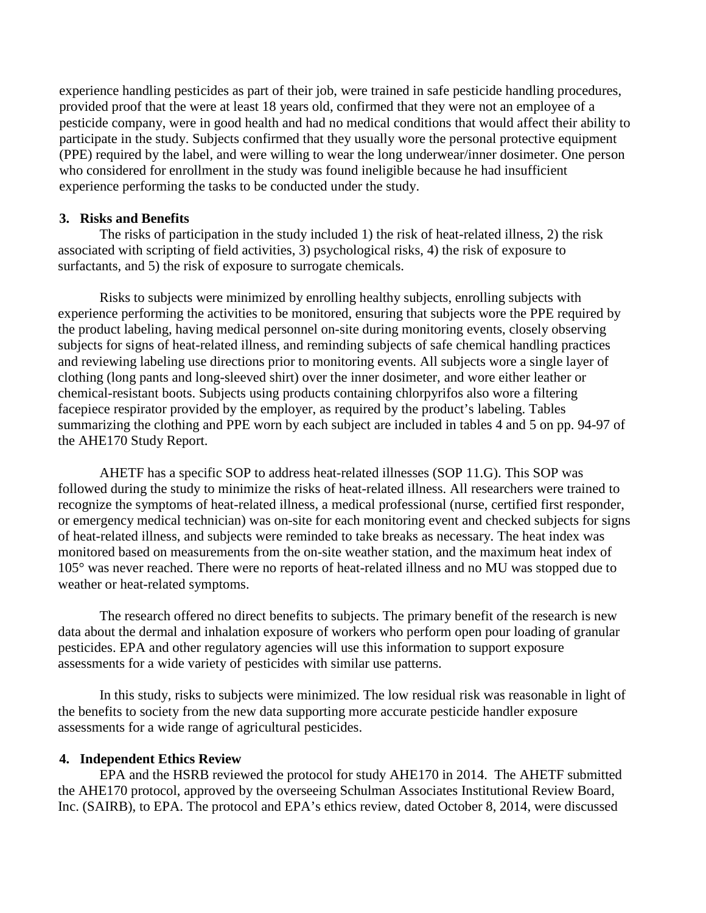experience handling pesticides as part of their job, were trained in safe pesticide handling procedures, provided proof that the were at least 18 years old, confirmed that they were not an employee of a pesticide company, were in good health and had no medical conditions that would affect their ability to participate in the study. Subjects confirmed that they usually wore the personal protective equipment (PPE) required by the label, and were willing to wear the long underwear/inner dosimeter. One person who considered for enrollment in the study was found ineligible because he had insufficient experience performing the tasks to be conducted under the study.

#### **3. Risks and Benefits**

The risks of participation in the study included 1) the risk of heat-related illness, 2) the risk associated with scripting of field activities, 3) psychological risks, 4) the risk of exposure to surfactants, and 5) the risk of exposure to surrogate chemicals.

Risks to subjects were minimized by enrolling healthy subjects, enrolling subjects with experience performing the activities to be monitored, ensuring that subjects wore the PPE required by the product labeling, having medical personnel on-site during monitoring events, closely observing subjects for signs of heat-related illness, and reminding subjects of safe chemical handling practices and reviewing labeling use directions prior to monitoring events. All subjects wore a single layer of clothing (long pants and long-sleeved shirt) over the inner dosimeter, and wore either leather or chemical-resistant boots. Subjects using products containing chlorpyrifos also wore a filtering facepiece respirator provided by the employer, as required by the product's labeling. Tables summarizing the clothing and PPE worn by each subject are included in tables 4 and 5 on pp. 94-97 of the AHE170 Study Report.

AHETF has a specific SOP to address heat-related illnesses (SOP 11.G). This SOP was followed during the study to minimize the risks of heat-related illness. All researchers were trained to recognize the symptoms of heat-related illness, a medical professional (nurse, certified first responder, or emergency medical technician) was on-site for each monitoring event and checked subjects for signs of heat-related illness, and subjects were reminded to take breaks as necessary. The heat index was monitored based on measurements from the on-site weather station, and the maximum heat index of 105° was never reached. There were no reports of heat-related illness and no MU was stopped due to weather or heat-related symptoms.

The research offered no direct benefits to subjects. The primary benefit of the research is new data about the dermal and inhalation exposure of workers who perform open pour loading of granular pesticides. EPA and other regulatory agencies will use this information to support exposure assessments for a wide variety of pesticides with similar use patterns.

In this study, risks to subjects were minimized. The low residual risk was reasonable in light of the benefits to society from the new data supporting more accurate pesticide handler exposure assessments for a wide range of agricultural pesticides.

#### **4. Independent Ethics Review**

EPA and the HSRB reviewed the protocol for study AHE170 in 2014. The AHETF submitted the AHE170 protocol, approved by the overseeing Schulman Associates Institutional Review Board, Inc. (SAIRB), to EPA. The protocol and EPA's ethics review, dated October 8, 2014, were discussed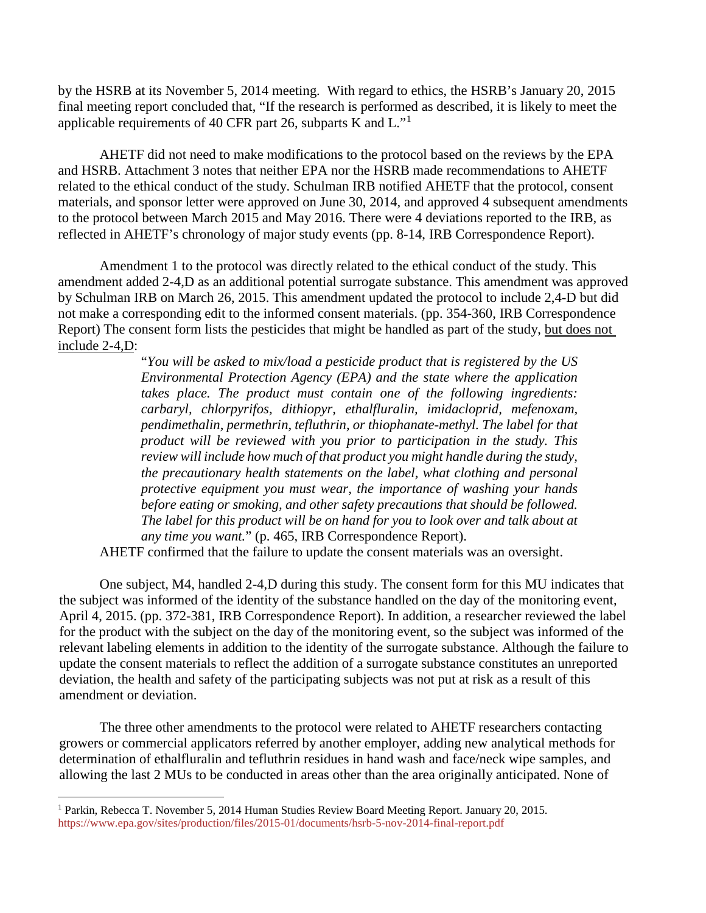by the HSRB at its November 5, 2014 meeting. With regard to ethics, the HSRB's January 20, 2015 final meeting report concluded that, "If the research is performed as described, it is likely to meet the applicable requirements of 40 CFR part 26, subparts K and L."[1](#page-6-0)

AHETF did not need to make modifications to the protocol based on the reviews by the EPA and HSRB. Attachment 3 notes that neither EPA nor the HSRB made recommendations to AHETF related to the ethical conduct of the study. Schulman IRB notified AHETF that the protocol, consent materials, and sponsor letter were approved on June 30, 2014, and approved 4 subsequent amendments to the protocol between March 2015 and May 2016. There were 4 deviations reported to the IRB, as reflected in AHETF's chronology of major study events (pp. 8-14, IRB Correspondence Report).

Amendment 1 to the protocol was directly related to the ethical conduct of the study. This amendment added 2-4,D as an additional potential surrogate substance. This amendment was approved by Schulman IRB on March 26, 2015. This amendment updated the protocol to include 2,4-D but did not make a corresponding edit to the informed consent materials. (pp. 354-360, IRB Correspondence Report) The consent form lists the pesticides that might be handled as part of the study, but does not include 2-4,D:

> "*You will be asked to mix/load a pesticide product that is registered by the US Environmental Protection Agency (EPA) and the state where the application takes place. The product must contain one of the following ingredients: carbaryl, chlorpyrifos, dithiopyr, ethalfluralin, imidacloprid, mefenoxam, pendimethalin, permethrin, tefluthrin, or thiophanate-methyl. The label for that product will be reviewed with you prior to participation in the study. This review will include how much of that product you might handle during the study, the precautionary health statements on the label, what clothing and personal protective equipment you must wear, the importance of washing your hands before eating or smoking, and other safety precautions that should be followed. The label for this product will be on hand for you to look over and talk about at any time you want.*" (p. 465, IRB Correspondence Report).

AHETF confirmed that the failure to update the consent materials was an oversight.

One subject, M4, handled 2-4,D during this study. The consent form for this MU indicates that the subject was informed of the identity of the substance handled on the day of the monitoring event, April 4, 2015. (pp. 372-381, IRB Correspondence Report). In addition, a researcher reviewed the label for the product with the subject on the day of the monitoring event, so the subject was informed of the relevant labeling elements in addition to the identity of the surrogate substance. Although the failure to update the consent materials to reflect the addition of a surrogate substance constitutes an unreported deviation, the health and safety of the participating subjects was not put at risk as a result of this amendment or deviation.

The three other amendments to the protocol were related to AHETF researchers contacting growers or commercial applicators referred by another employer, adding new analytical methods for determination of ethalfluralin and tefluthrin residues in hand wash and face/neck wipe samples, and allowing the last 2 MUs to be conducted in areas other than the area originally anticipated. None of

 $\overline{a}$ 

<span id="page-6-0"></span><sup>1</sup> Parkin, Rebecca T. November 5, 2014 Human Studies Review Board Meeting Report. January 20, 2015. <https://www.epa.gov/sites/production/files/2015-01/documents/hsrb-5-nov-2014-final-report.pdf>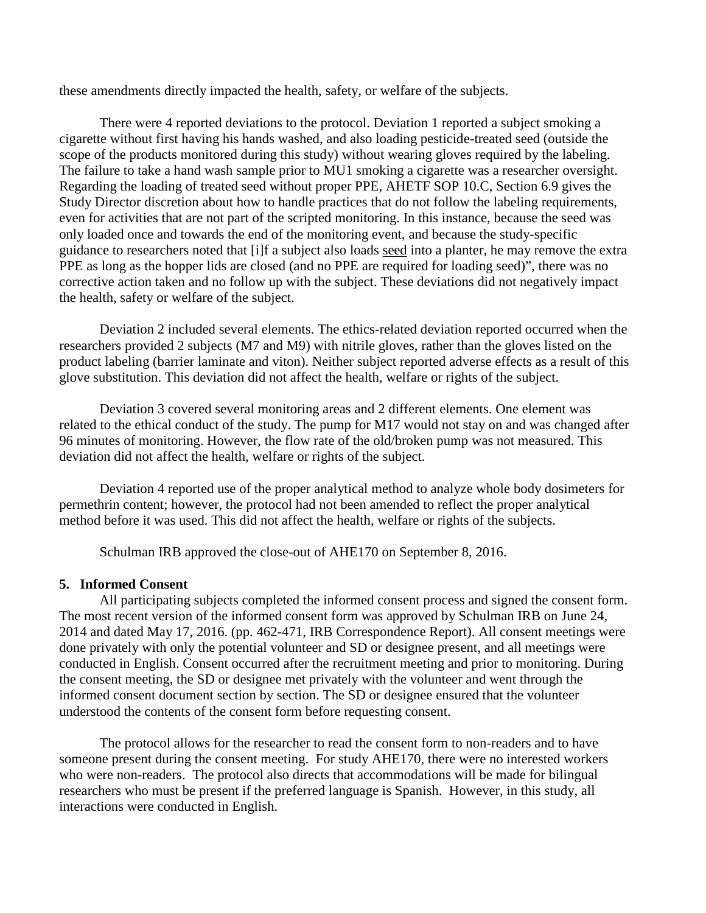these amendments directly impacted the health, safety, or welfare of the subjects.

There were 4 reported deviations to the protocol. Deviation 1 reported a subject smoking a cigarette without first having his hands washed, and also loading pesticide-treated seed (outside the scope of the products monitored during this study) without wearing gloves required by the labeling. The failure to take a hand wash sample prior to MU1 smoking a cigarette was a researcher oversight. Regarding the loading of treated seed without proper PPE, AHETF SOP 10.C, Section 6.9 gives the Study Director discretion about how to handle practices that do not follow the labeling requirements, even for activities that are not part of the scripted monitoring. In this instance, because the seed was only loaded once and towards the end of the monitoring event, and because the study-specific guidance to researchers noted that [i]f a subject also loads seed into a planter, he may remove the extra PPE as long as the hopper lids are closed (and no PPE are required for loading seed)", there was no corrective action taken and no follow up with the subject. These deviations did not negatively impact the health, safety or welfare of the subject.

Deviation 2 included several elements. The ethics-related deviation reported occurred when the researchers provided 2 subjects (M7 and M9) with nitrile gloves, rather than the gloves listed on the product labeling (barrier laminate and viton). Neither subject reported adverse effects as a result of this glove substitution. This deviation did not affect the health, welfare or rights of the subject.

Deviation 3 covered several monitoring areas and 2 different elements. One element was related to the ethical conduct of the study. The pump for M17 would not stay on and was changed after 96 minutes of monitoring. However, the flow rate of the old/broken pump was not measured. This deviation did not affect the health, welfare or rights of the subject.

Deviation 4 reported use of the proper analytical method to analyze whole body dosimeters for permethrin content; however, the protocol had not been amended to reflect the proper analytical method before it was used. This did not affect the health, welfare or rights of the subjects.

Schulman IRB approved the close-out of AHE170 on September 8, 2016.

#### **5. Informed Consent**

All participating subjects completed the informed consent process and signed the consent form. The most recent version of the informed consent form was approved by Schulman IRB on June 24, 2014 and dated May 17, 2016. (pp. 462-471, IRB Correspondence Report). All consent meetings were done privately with only the potential volunteer and SD or designee present, and all meetings were conducted in English. Consent occurred after the recruitment meeting and prior to monitoring. During the consent meeting, the SD or designee met privately with the volunteer and went through the informed consent document section by section. The SD or designee ensured that the volunteer understood the contents of the consent form before requesting consent.

The protocol allows for the researcher to read the consent form to non-readers and to have someone present during the consent meeting. For study AHE170, there were no interested workers who were non-readers. The protocol also directs that accommodations will be made for bilingual researchers who must be present if the preferred language is Spanish. However, in this study, all interactions were conducted in English.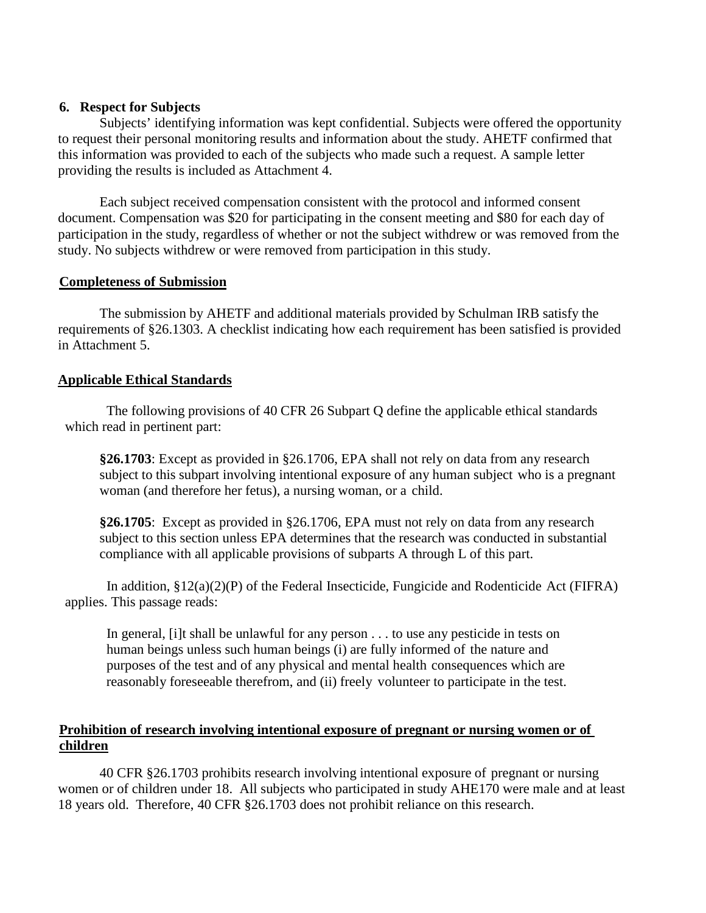#### **6. Respect for Subjects**

Subjects' identifying information was kept confidential. Subjects were offered the opportunity to request their personal monitoring results and information about the study. AHETF confirmed that this information was provided to each of the subjects who made such a request. A sample letter providing the results is included as Attachment 4.

Each subject received compensation consistent with the protocol and informed consent document. Compensation was \$20 for participating in the consent meeting and \$80 for each day of participation in the study, regardless of whether or not the subject withdrew or was removed from the study. No subjects withdrew or were removed from participation in this study.

#### **Completeness of Submission**

The submission by AHETF and additional materials provided by Schulman IRB satisfy the requirements of §26.1303. A checklist indicating how each requirement has been satisfied is provided in Attachment 5.

#### **Applicable Ethical Standards**

The following provisions of 40 CFR 26 Subpart Q define the applicable ethical standards which read in pertinent part:

**§26.1703**: Except as provided in §26.1706, EPA shall not rely on data from any research subject to this subpart involving intentional exposure of any human subject who is a pregnant woman (and therefore her fetus), a nursing woman, or a child.

**§26.1705**: Except as provided in §26.1706, EPA must not rely on data from any research subject to this section unless EPA determines that the research was conducted in substantial compliance with all applicable provisions of subparts A through L of this part.

In addition,  $\S 12(a)(2)(P)$  of the Federal Insecticide, Fungicide and Rodenticide Act (FIFRA) applies. This passage reads:

In general, [i]t shall be unlawful for any person . . . to use any pesticide in tests on human beings unless such human beings (i) are fully informed of the nature and purposes of the test and of any physical and mental health consequences which are reasonably foreseeable therefrom, and (ii) freely volunteer to participate in the test.

### **Prohibition of research involving intentional exposure of pregnant or nursing women or of children**

40 CFR §26.1703 prohibits research involving intentional exposure of pregnant or nursing women or of children under 18. All subjects who participated in study AHE170 were male and at least 18 years old. Therefore, 40 CFR §26.1703 does not prohibit reliance on this research.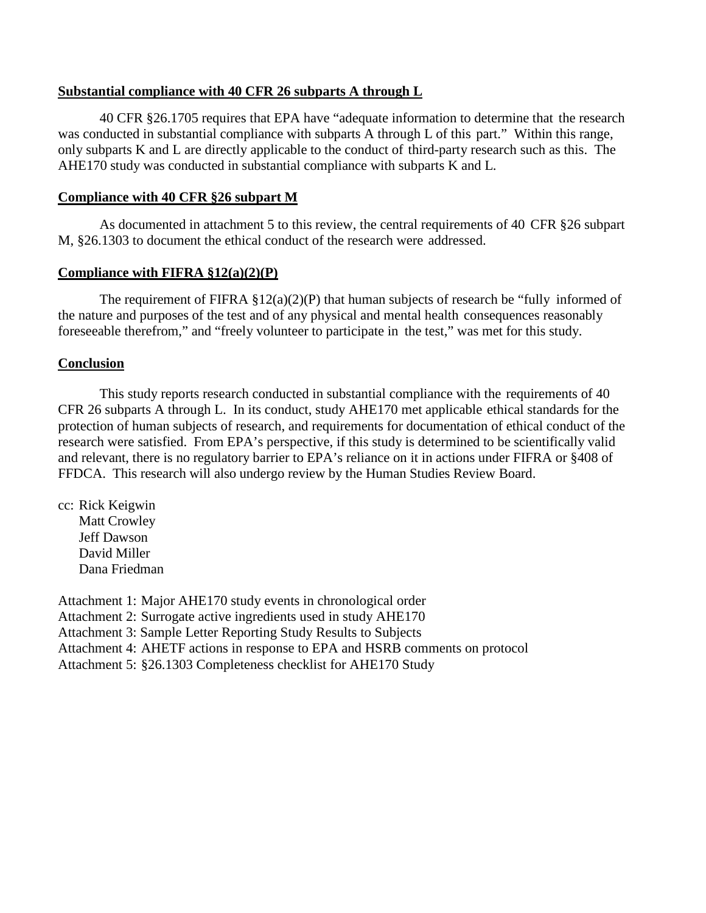#### **Substantial compliance with 40 CFR 26 subparts A through L**

40 CFR §26.1705 requires that EPA have "adequate information to determine that the research was conducted in substantial compliance with subparts A through L of this part." Within this range, only subparts K and L are directly applicable to the conduct of third-party research such as this. The AHE170 study was conducted in substantial compliance with subparts K and L.

#### **Compliance with 40 CFR §26 subpart M**

As documented in attachment 5 to this review, the central requirements of 40 CFR §26 subpart M, §26.1303 to document the ethical conduct of the research were addressed.

#### **Compliance with FIFRA §12(a)(2)(P)**

The requirement of FIFRA  $\S 12(a)(2)(P)$  that human subjects of research be "fully informed of the nature and purposes of the test and of any physical and mental health consequences reasonably foreseeable therefrom," and "freely volunteer to participate in the test," was met for this study.

#### **Conclusion**

This study reports research conducted in substantial compliance with the requirements of 40 CFR 26 subparts A through L. In its conduct, study AHE170 met applicable ethical standards for the protection of human subjects of research, and requirements for documentation of ethical conduct of the research were satisfied. From EPA's perspective, if this study is determined to be scientifically valid and relevant, there is no regulatory barrier to EPA's reliance on it in actions under FIFRA or §408 of FFDCA. This research will also undergo review by the Human Studies Review Board.

cc: Rick Keigwin Matt Crowley Jeff Dawson David Miller Dana Friedman

Attachment 1: Major AHE170 study events in chronological order Attachment 2: Surrogate active ingredients used in study AHE170 Attachment 3: Sample Letter Reporting Study Results to Subjects Attachment 4: AHETF actions in response to EPA and HSRB comments on protocol Attachment 5: §26.1303 Completeness checklist for AHE170 Study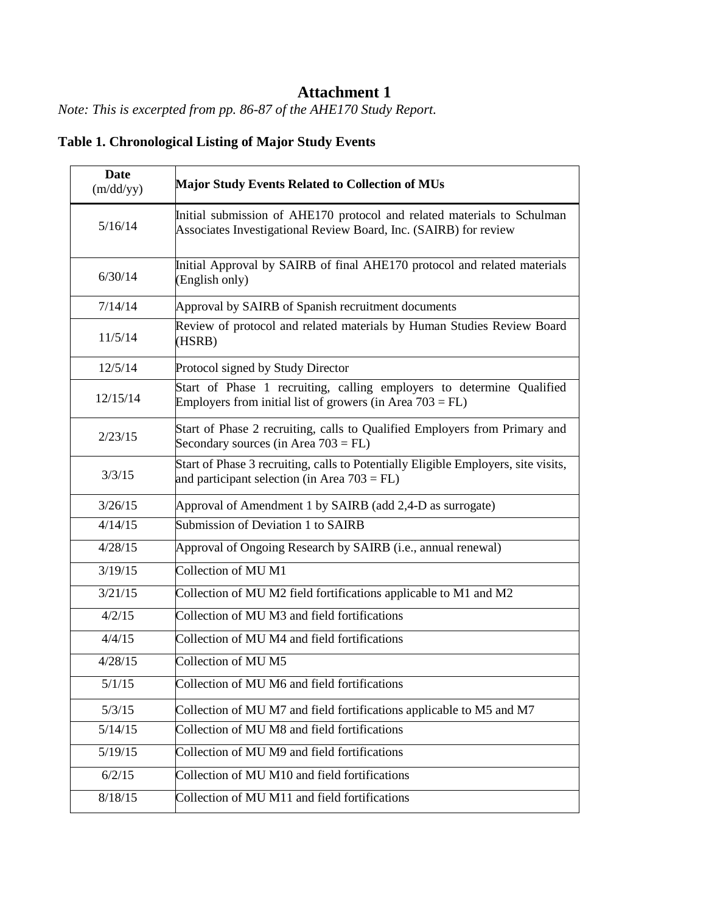# **Attachment 1**

*Note: This is excerpted from pp. 86-87 of the AHE170 Study Report.*

|  | <b>Table 1. Chronological Listing of Major Study Events</b> |  |  |  |  |
|--|-------------------------------------------------------------|--|--|--|--|
|--|-------------------------------------------------------------|--|--|--|--|

| <b>Date</b><br>(m/dd/yy) | <b>Major Study Events Related to Collection of MUs</b>                                                                                      |  |
|--------------------------|---------------------------------------------------------------------------------------------------------------------------------------------|--|
| 5/16/14                  | Initial submission of AHE170 protocol and related materials to Schulman<br>Associates Investigational Review Board, Inc. (SAIRB) for review |  |
| 6/30/14                  | Initial Approval by SAIRB of final AHE170 protocol and related materials<br>(English only)                                                  |  |
| 7/14/14                  | Approval by SAIRB of Spanish recruitment documents                                                                                          |  |
| 11/5/14                  | Review of protocol and related materials by Human Studies Review Board<br>(HSRB)                                                            |  |
| 12/5/14                  | Protocol signed by Study Director                                                                                                           |  |
| 12/15/14                 | Start of Phase 1 recruiting, calling employers to determine Qualified<br>Employers from initial list of growers (in Area $703 = FL$ )       |  |
| 2/23/15                  | Start of Phase 2 recruiting, calls to Qualified Employers from Primary and<br>Secondary sources (in Area $703 = FL$ )                       |  |
| 3/3/15                   | Start of Phase 3 recruiting, calls to Potentially Eligible Employers, site visits,<br>and participant selection (in Area $703 = FL$ )       |  |
| 3/26/15                  | Approval of Amendment 1 by SAIRB (add 2,4-D as surrogate)                                                                                   |  |
| 4/14/15                  | Submission of Deviation 1 to SAIRB                                                                                                          |  |
| 4/28/15                  | Approval of Ongoing Research by SAIRB (i.e., annual renewal)                                                                                |  |
| 3/19/15                  | Collection of MU <sub>M1</sub>                                                                                                              |  |
| 3/21/15                  | Collection of MU M2 field fortifications applicable to M1 and M2                                                                            |  |
| 4/2/15                   | Collection of MU M3 and field fortifications                                                                                                |  |
| 4/4/15                   | Collection of MU M4 and field fortifications                                                                                                |  |
| 4/28/15                  | Collection of MU <sub>M5</sub>                                                                                                              |  |
| 5/1/15                   | Collection of MU M6 and field fortifications                                                                                                |  |
| 5/3/15                   | Collection of MU M7 and field fortifications applicable to M5 and M7                                                                        |  |
| 5/14/15                  | Collection of MU M8 and field fortifications                                                                                                |  |
| 5/19/15                  | Collection of MU M9 and field fortifications                                                                                                |  |
| 6/2/15                   | Collection of MU M10 and field fortifications                                                                                               |  |
| 8/18/15                  | Collection of MU M11 and field fortifications                                                                                               |  |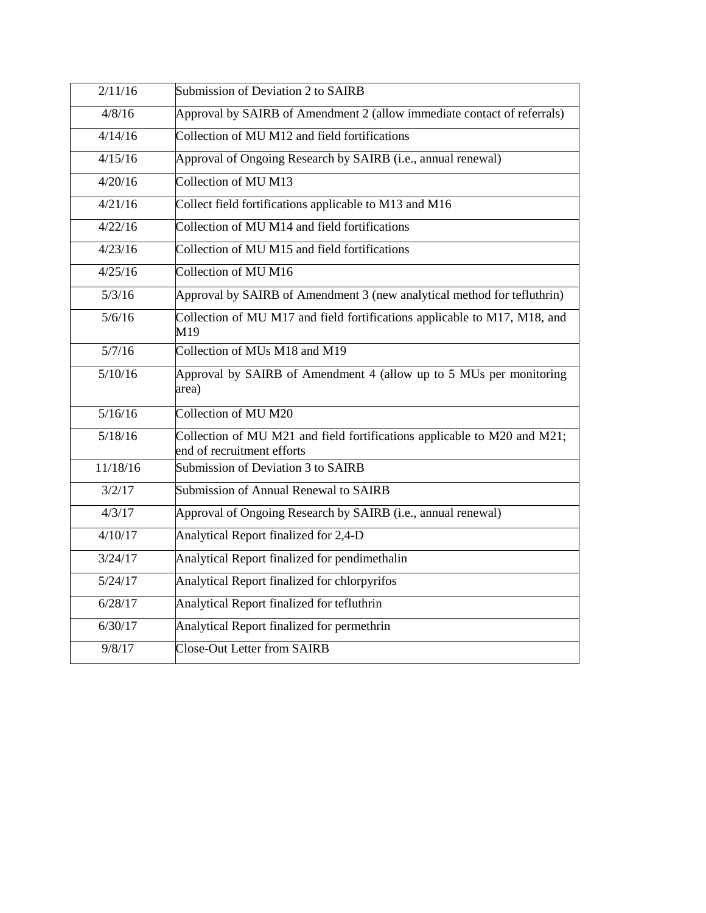| 2/11/16  | Submission of Deviation 2 to SAIRB                                                                     |
|----------|--------------------------------------------------------------------------------------------------------|
| 4/8/16   | Approval by SAIRB of Amendment 2 (allow immediate contact of referrals)                                |
| 4/14/16  | Collection of MU M12 and field fortifications                                                          |
| 4/15/16  | Approval of Ongoing Research by SAIRB (i.e., annual renewal)                                           |
| 4/20/16  | Collection of MU M13                                                                                   |
| 4/21/16  | Collect field fortifications applicable to M13 and M16                                                 |
| 4/22/16  | Collection of MU M14 and field fortifications                                                          |
| 4/23/16  | Collection of MU M15 and field fortifications                                                          |
| 4/25/16  | Collection of MU M16                                                                                   |
| 5/3/16   | Approval by SAIRB of Amendment 3 (new analytical method for tefluthrin)                                |
| 5/6/16   | Collection of MU M17 and field fortifications applicable to M17, M18, and<br>M19                       |
| 5/7/16   | Collection of MUs M18 and M19                                                                          |
| 5/10/16  | Approval by SAIRB of Amendment 4 (allow up to 5 MUs per monitoring<br>area)                            |
| 5/16/16  | Collection of MU M20                                                                                   |
| 5/18/16  | Collection of MU M21 and field fortifications applicable to M20 and M21;<br>end of recruitment efforts |
| 11/18/16 | Submission of Deviation 3 to SAIRB                                                                     |
| 3/2/17   | Submission of Annual Renewal to SAIRB                                                                  |
| 4/3/17   | Approval of Ongoing Research by SAIRB (i.e., annual renewal)                                           |
| 4/10/17  | Analytical Report finalized for 2,4-D                                                                  |
| 3/24/17  | Analytical Report finalized for pendimethalin                                                          |
| 5/24/17  | Analytical Report finalized for chlorpyrifos                                                           |
| 6/28/17  | Analytical Report finalized for tefluthrin                                                             |
| 6/30/17  | Analytical Report finalized for permethrin                                                             |
| 9/8/17   | <b>Close-Out Letter from SAIRB</b>                                                                     |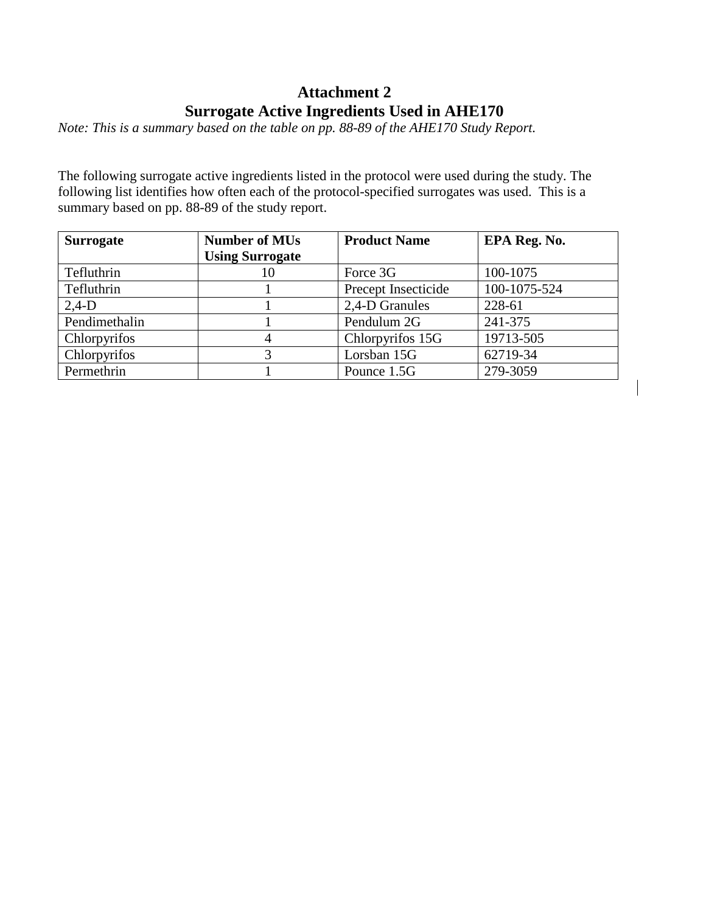## **Attachment 2 Surrogate Active Ingredients Used in AHE170**

*Note: This is a summary based on the table on pp. 88-89 of the AHE170 Study Report.*

The following surrogate active ingredients listed in the protocol were used during the study. The following list identifies how often each of the protocol-specified surrogates was used. This is a summary based on pp. 88-89 of the study report.

| <b>Surrogate</b> | <b>Number of MUs</b>   | <b>Product Name</b> | EPA Reg. No. |
|------------------|------------------------|---------------------|--------------|
|                  | <b>Using Surrogate</b> |                     |              |
| Tefluthrin       | 10                     | Force 3G            | 100-1075     |
| Tefluthrin       |                        | Precept Insecticide | 100-1075-524 |
| $2,4-D$          |                        | 2,4-D Granules      | 228-61       |
| Pendimethalin    |                        | Pendulum 2G         | 241-375      |
| Chlorpyrifos     | 4                      | Chlorpyrifos 15G    | 19713-505    |
| Chlorpyrifos     |                        | Lorsban 15G         | 62719-34     |
| Permethrin       |                        | Pounce 1.5G         | 279-3059     |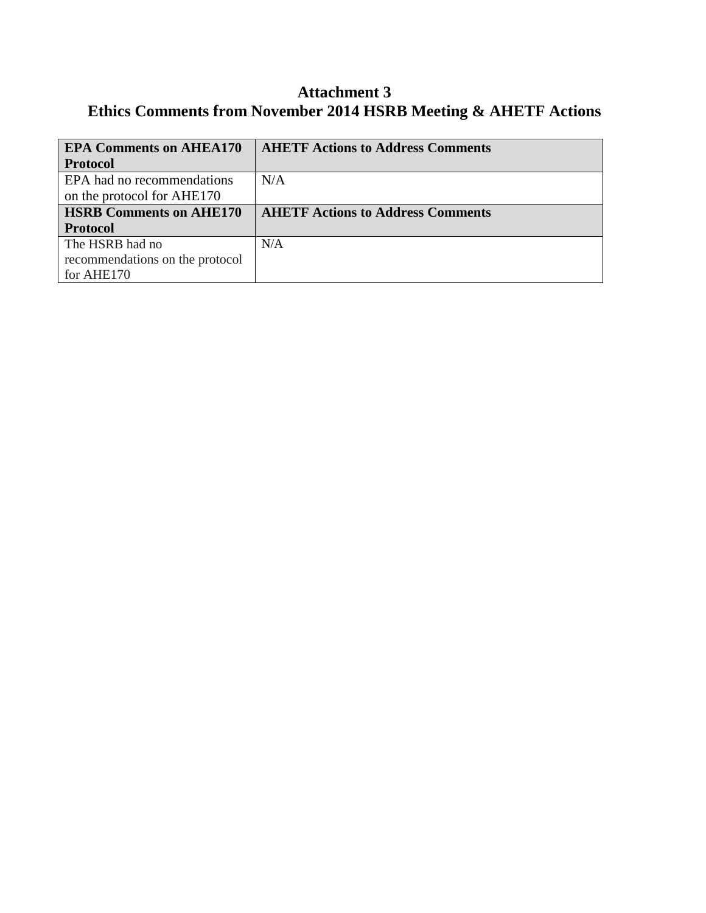## **Attachment 3 Ethics Comments from November 2014 HSRB Meeting & AHETF Actions**

| <b>EPA Comments on AHEA170</b>  | <b>AHETF Actions to Address Comments</b> |
|---------------------------------|------------------------------------------|
| <b>Protocol</b>                 |                                          |
| EPA had no recommendations      | N/A                                      |
| on the protocol for AHE170      |                                          |
| <b>HSRB Comments on AHE170</b>  | <b>AHETF Actions to Address Comments</b> |
| <b>Protocol</b>                 |                                          |
| The HSRB had no                 | N/A                                      |
| recommendations on the protocol |                                          |
| for AHE170                      |                                          |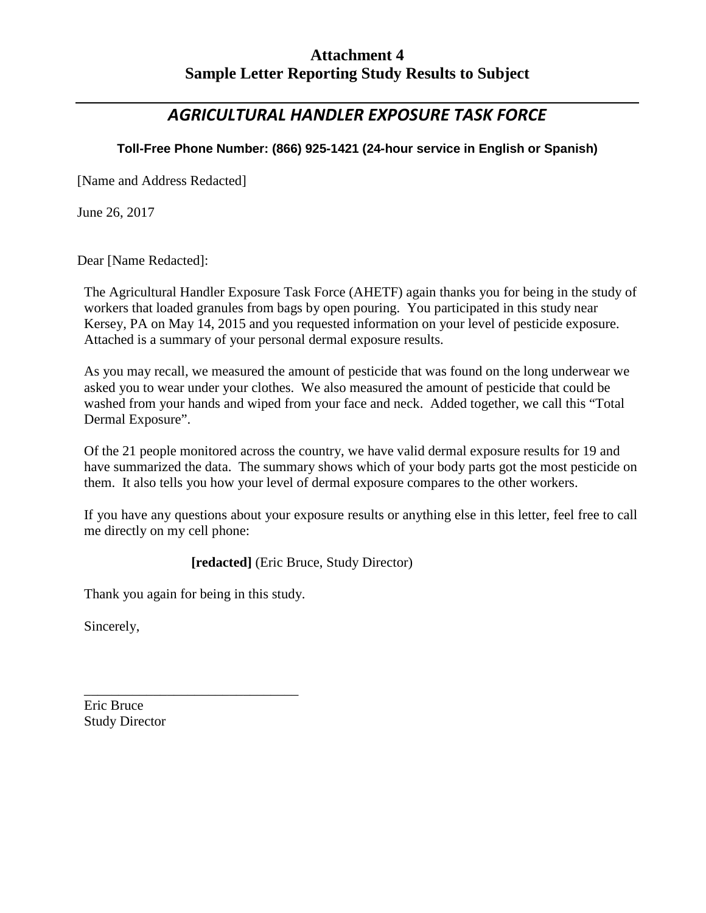## **Attachment 4 Sample Letter Reporting Study Results to Subject**

## *AGRICULTURAL HANDLER EXPOSURE TASK FORCE*

## **Toll-Free Phone Number: (866) 925-1421 (24-hour service in English or Spanish)**

[Name and Address Redacted]

June 26, 2017

Dear [Name Redacted]:

The Agricultural Handler Exposure Task Force (AHETF) again thanks you for being in the study of workers that loaded granules from bags by open pouring. You participated in this study near Kersey, PA on May 14, 2015 and you requested information on your level of pesticide exposure. Attached is a summary of your personal dermal exposure results.

As you may recall, we measured the amount of pesticide that was found on the long underwear we asked you to wear under your clothes. We also measured the amount of pesticide that could be washed from your hands and wiped from your face and neck. Added together, we call this "Total Dermal Exposure".

Of the 21 people monitored across the country, we have valid dermal exposure results for 19 and have summarized the data. The summary shows which of your body parts got the most pesticide on them. It also tells you how your level of dermal exposure compares to the other workers.

If you have any questions about your exposure results or anything else in this letter, feel free to call me directly on my cell phone:

**[redacted]** (Eric Bruce, Study Director)

Thank you again for being in this study.

\_\_\_\_\_\_\_\_\_\_\_\_\_\_\_\_\_\_\_\_\_\_\_\_\_\_\_\_\_\_\_

Sincerely,

Eric Bruce Study Director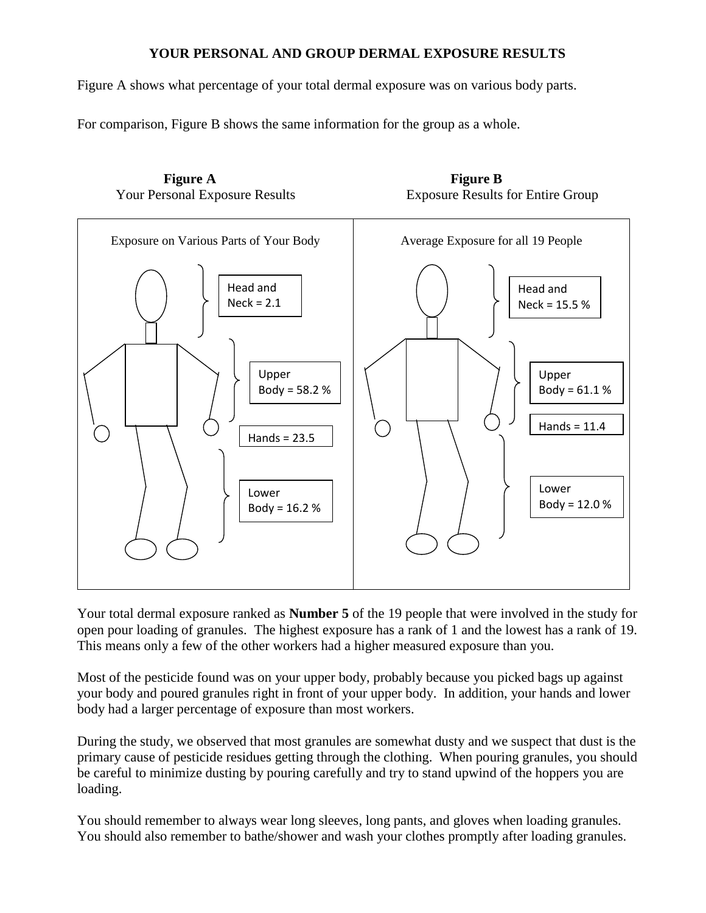## **YOUR PERSONAL AND GROUP DERMAL EXPOSURE RESULTS**

Figure A shows what percentage of your total dermal exposure was on various body parts.

For comparison, Figure B shows the same information for the group as a whole.



Your total dermal exposure ranked as **Number 5** of the 19 people that were involved in the study for open pour loading of granules. The highest exposure has a rank of 1 and the lowest has a rank of 19. This means only a few of the other workers had a higher measured exposure than you.

Most of the pesticide found was on your upper body, probably because you picked bags up against your body and poured granules right in front of your upper body. In addition, your hands and lower body had a larger percentage of exposure than most workers.

During the study, we observed that most granules are somewhat dusty and we suspect that dust is the primary cause of pesticide residues getting through the clothing. When pouring granules, you should be careful to minimize dusting by pouring carefully and try to stand upwind of the hoppers you are loading.

You should remember to always wear long sleeves, long pants, and gloves when loading granules. You should also remember to bathe/shower and wash your clothes promptly after loading granules.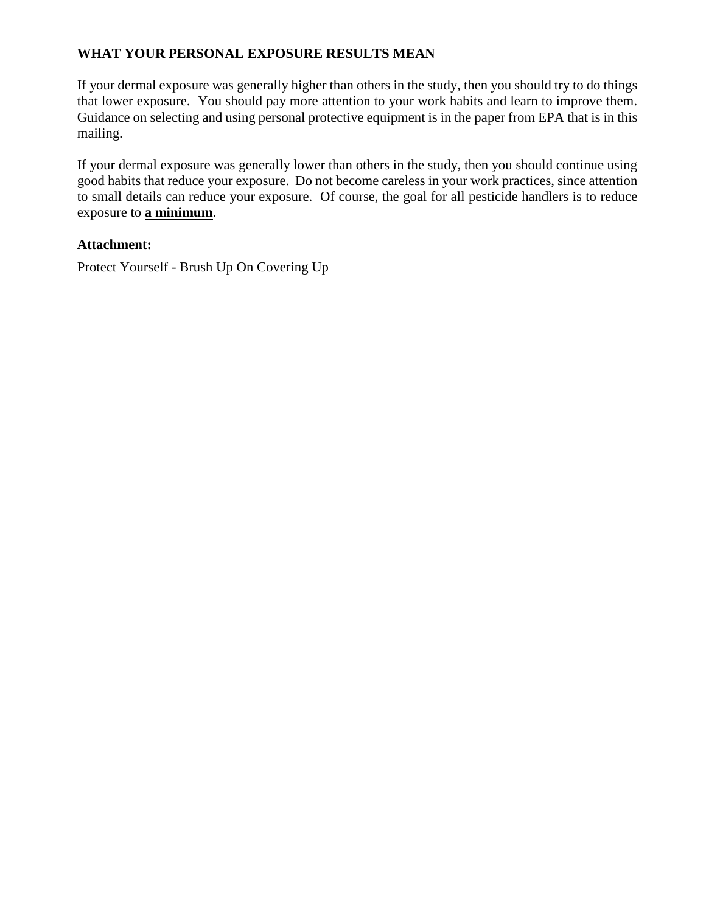## **WHAT YOUR PERSONAL EXPOSURE RESULTS MEAN**

If your dermal exposure was generally higher than others in the study, then you should try to do things that lower exposure. You should pay more attention to your work habits and learn to improve them. Guidance on selecting and using personal protective equipment is in the paper from EPA that is in this mailing.

If your dermal exposure was generally lower than others in the study, then you should continue using good habits that reduce your exposure. Do not become careless in your work practices, since attention to small details can reduce your exposure. Of course, the goal for all pesticide handlers is to reduce exposure to **a minimum**.

### **Attachment:**

Protect Yourself - Brush Up On Covering Up